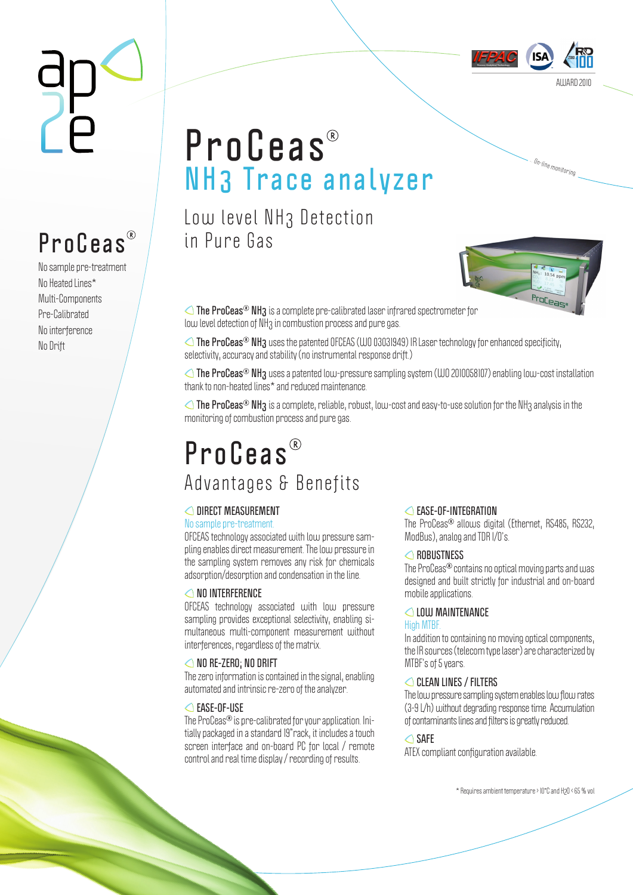

… <sup>O</sup>n-lin<sup>e</sup> <sup>m</sup>onitorin<sup>g</sup>

## **ProCeas N H3 Trace a n a l y z e r**

Low level NH3 Detection in Pure Gas



**The ProCeas<sup>®</sup> NH<sub>3</sub>** is a complete pre-calibrated laser infrared spectrometer for low level detection of NH<sub>3</sub> in combustion process and pure gas.

**The ProCeas<sup>®</sup> NH<sub>3</sub>** uses the patented OFCEAS (WO 03031949) IR Laser technology for enhanced specificity, selectivity, accuracy and stability (no instrumental response drift.)

**The ProCeas<sup>®</sup> NH<sub>3</sub> uses a patented low-pressure sampling system (WO 2010058107) enabling low-cost installation** thank to non-heated lines\* and reduced maintenance.

**△ The ProCeas<sup>®</sup> NH3** is a complete, reliable, robust, low-cost and easy-to-use solution for the NH3 analysis in the monitoring of combustion process and pure gas.

### **P r o C e a s**  Advantages & Benefits

#### **DIRECT MEASUREMENT**

#### No sample pre-treatment.

OFCEAS technology associated with low pressure sampling enables direct measurement. The low pressure in the sampling system removes any risk for chemicals adsorption/desorption and condensation in the line.

#### **△NO INTERFERENCE**

OFCEAS technology associated with low pressure sampling provides exceptional selectivity, enabling simultaneous multi-component measurement without interferences, regardless of the matrix.

#### **NO RE-ZERO; NO DRIFT**

The zero information is contained in the signal, enabling automated and intrinsic re-zero of the analyzer.

#### **EASE-OF-USE**

The ProCeas<sup>®</sup> is pre-calibrated for your application. Initially packaged in a standard 19"rack, it includes a touch screen interface and on-board PC for local / remote control and real time display / recording of results.

#### **EASE-OF-INTEGRATION**

The ProCeas<sup>®</sup> allows digital (Ethernet, RS485, RS232, ModBus), analog and TDR I/O's.

#### **ROBUSTNESS**

The ProCeas<sup>®</sup> contains no optical moving parts and was designed and built strictly for industrial and on-board mobile applications.

#### **LOW MAINTENANCE**

#### High MTBF.

In addition to containing no moving optical components, the IR sources (telecom type laser) are characterized by MTBF's of 5 years.

#### **CLEAN LINES / FILTERS**

The low pressure sampling system enables low flow rates (3-9 L/h) without degrading response time. Accumulation of contaminants lines and filters is greatly reduced.

#### **SAFE**

ATEX compliant configuration available.

\* Requires ambient temperature > 10°C and H2O < 65 % vol

# **ProCeas**

No sample pre-treatment No Heated Lines\* Multi-Components Pre-Calibrated No interference No Drift